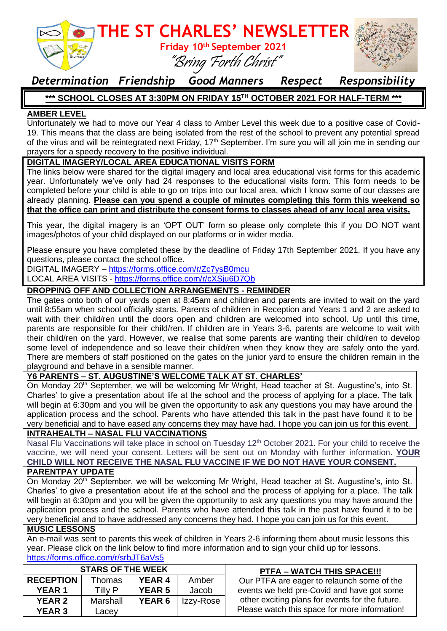

# *Determination Friendship Good Manners Respect Responsibility*

# **\*\*\* SCHOOL CLOSES AT 3:30PM ON FRIDAY 15TH OCTOBER 2021 FOR HALF-TERM \*\*\***

## **AMBER LEVEL**

Unfortunately we had to move our Year 4 class to Amber Level this week due to a positive case of Covid-19. This means that the class are being isolated from the rest of the school to prevent any potential spread of the virus and will be reintegrated next Friday, 17<sup>th</sup> September. I'm sure you will all join me in sending our prayers for a speedy recovery to the positive individual.

#### **DIGITAL IMAGERY/LOCAL AREA EDUCATIONAL VISITS FORM**

The links below were shared for the digital imagery and local area educational visit forms for this academic year. Unfortunately we've only had 24 responses to the educational visits form. This form needs to be completed before your child is able to go on trips into our local area, which I know some of our classes are already planning. **Please can you spend a couple of minutes completing this form this weekend so that the office can print and distribute the consent forms to classes ahead of any local area visits.** 

This year, the digital imagery is an 'OPT OUT' form so please only complete this if you DO NOT want images/photos of your child displayed on our platforms or in wider media.

Please ensure you have completed these by the deadline of Friday 17th September 2021. If you have any questions, please contact the school office.

DIGITAL IMAGERY – <https://forms.office.com/r/Zc7ysB0mcu>

LOCAL AREA VISITS - <https://forms.office.com/r/cXSju6D7Qb>

#### **DROPPING OFF AND COLLECTION ARRANGEMENTS - REMINDER**

The gates onto both of our yards open at 8:45am and children and parents are invited to wait on the yard until 8:55am when school officially starts. Parents of children in Reception and Years 1 and 2 are asked to wait with their child/ren until the doors open and children are welcomed into school. Up until this time, parents are responsible for their child/ren. If children are in Years 3-6, parents are welcome to wait with their child/ren on the yard. However, we realise that some parents are wanting their child/ren to develop some level of independence and so leave their child/ren when they know they are safely onto the yard. There are members of staff positioned on the gates on the junior yard to ensure the children remain in the playground and behave in a sensible manner.

#### **Y6 PARENTS – ST. AUGUSTINE'S WELCOME TALK AT ST. CHARLES'**

On Monday 20<sup>th</sup> September, we will be welcoming Mr Wright, Head teacher at St. Augustine's, into St. Charles' to give a presentation about life at the school and the process of applying for a place. The talk will begin at 6:30pm and you will be given the opportunity to ask any questions you may have around the application process and the school. Parents who have attended this talk in the past have found it to be very beneficial and to have eased any concerns they may have had. I hope you can join us for this event.

### **INTRAHEALTH – NASAL FLU VACCINATIONS**

Nasal Flu Vaccinations will take place in school on Tuesday 12<sup>th</sup> October 2021. For your child to receive the vaccine, we will need your consent. Letters will be sent out on Monday with further information. **YOUR CHILD WILL NOT RECEIVE THE NASAL FLU VACCINE IF WE DO NOT HAVE YOUR CONSENT.** 

#### **PARENTPAY UPDATE**

On Monday 20<sup>th</sup> September, we will be welcoming Mr Wright, Head teacher at St. Augustine's, into St. Charles' to give a presentation about life at the school and the process of applying for a place. The talk will begin at 6:30pm and you will be given the opportunity to ask any questions you may have around the application process and the school. Parents who have attended this talk in the past have found it to be very beneficial and to have addressed any concerns they had. I hope you can join us for this event.

#### **MUSIC LESSONS**

An e-mail was sent to parents this week of children in Years 2-6 informing them about music lessons this year. Please click on the link below to find more information and to sign your child up for lessons. <https://forms.office.com/r/srbJT6aVs5>

| <b>STARS OF THE WEEK</b> |          |               |           | <b>PTFA - WATCH THIS SPACE!!!</b>               |
|--------------------------|----------|---------------|-----------|-------------------------------------------------|
| <b>RECEPTION</b>         | Thomas   | <b>YEAR 4</b> | Amber     | Our PTFA are eager to relaunch some of the      |
| <b>YEAR1</b>             | Tilly P  | <b>YEAR 5</b> | Jacob     | events we held pre-Covid and have got some      |
| <b>YEAR 2</b>            | Marshall | <b>YEAR 6</b> | Izzy-Rose | other exciting plans for events for the future. |
| <b>YEAR 3</b>            | Lacev    |               |           | Please watch this space for more information!   |